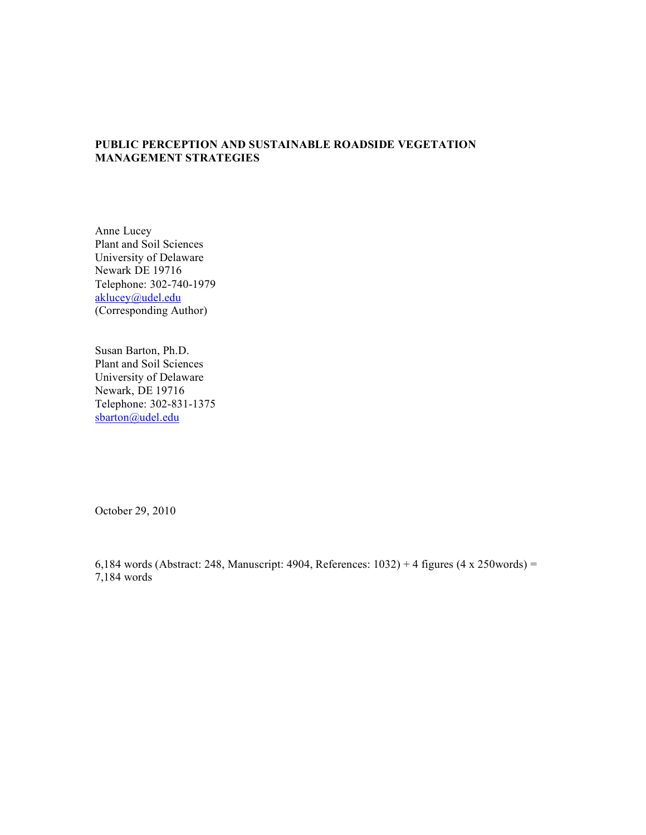# **PUBLIC PERCEPTION AND SUSTAINABLE ROADSIDE VEGETATION MANAGEMENT STRATEGIES**

Anne Lucey Plant and Soil Sciences University of Delaware Newark DE 19716 Telephone: 302-740-1979 aklucey@udel.edu (Corresponding Author)

Susan Barton, Ph.D. Plant and Soil Sciences University of Delaware Newark, DE 19716 Telephone: 302-831-1375 sbarton@udel.edu

October 29, 2010

6,184 words (Abstract: 248, Manuscript: 4904, References: 1032) + 4 figures (4 x 250words) = 7,184 words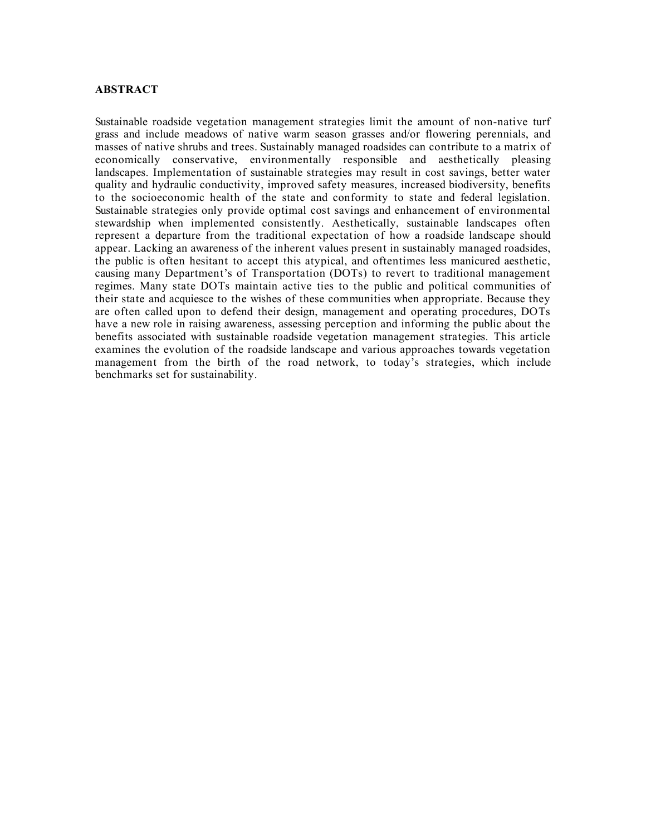## **ABSTRACT**

Sustainable roadside vegetation management strategies limit the amount of non-native turf grass and include meadows of native warm season grasses and/or flowering perennials, and masses of native shrubs and trees. Sustainably managed roadsides can contribute to a matrix of economically conservative, environmentally responsible and aesthetically pleasing landscapes. Implementation of sustainable strategies may result in cost savings, better water quality and hydraulic conductivity, improved safety measures, increased biodiversity, benefits to the socioeconomic health of the state and conformity to state and federal legislation. Sustainable strategies only provide optimal cost savings and enhancement of environmental stewardship when implemented consistently. Aesthetically, sustainable landscapes often represent a departure from the traditional expectation of how a roadside landscape should appear. Lacking an awareness of the inherent values present in sustainably managed roadsides, the public is often hesitant to accept this atypical, and oftentimes less manicured aesthetic, causing many Department's of Transportation (DOTs) to revert to traditional management regimes. Many state DOTs maintain active ties to the public and political communities of their state and acquiesce to the wishes of these communities when appropriate. Because they are often called upon to defend their design, management and operating procedures, DOTs have a new role in raising awareness, assessing perception and informing the public about the benefits associated with sustainable roadside vegetation management strategies. This article examines the evolution of the roadside landscape and various approaches towards vegetation management from the birth of the road network, to today's strategies, which include benchmarks set for sustainability.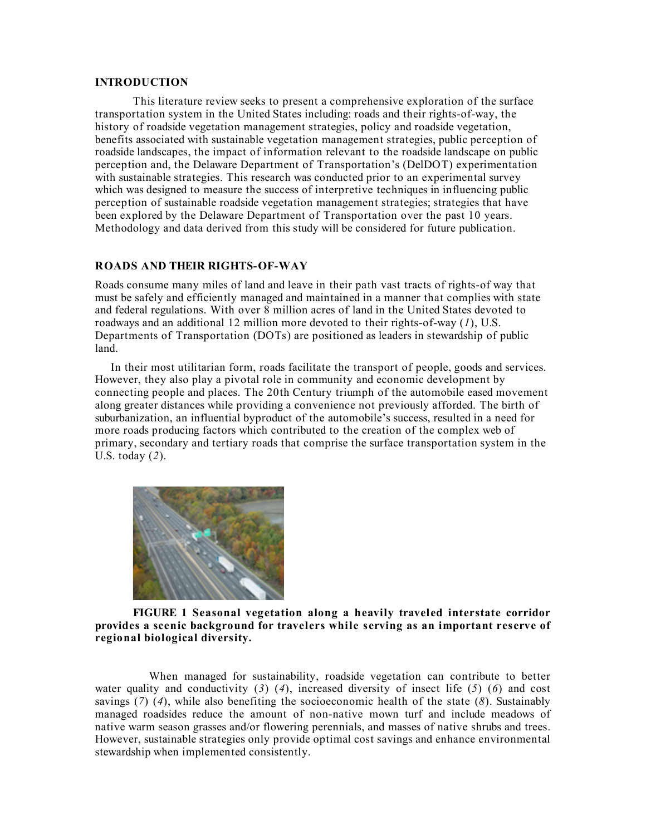## **INTRODUCTION**

This literature review seeks to present a comprehensive exploration of the surface transportation system in the United States including: roads and their rights-of-way, the history of roadside vegetation management strategies, policy and roadside vegetation, benefits associated with sustainable vegetation management strategies, public perception of roadside landscapes, the impact of information relevant to the roadside landscape on public perception and, the Delaware Department of Transportation's (DelDOT) experimentation with sustainable strategies. This research was conducted prior to an experimental survey which was designed to measure the success of interpretive techniques in influencing public perception of sustainable roadside vegetation management strategies; strategies that have been explored by the Delaware Department of Transportation over the past 10 years. Methodology and data derived from this study will be considered for future publication.

## **ROADS AND THEIR RIGHTS-OF-WAY**

Roads consume many miles of land and leave in their path vast tracts of rights-of way that must be safely and efficiently managed and maintained in a manner that complies with state and federal regulations. With over 8 million acres of land in the United States devoted to roadways and an additional 12 million more devoted to their rights-of-way (*1*), U.S. Departments of Transportation (DOTs) are positioned as leaders in stewardship of public land.

 In their most utilitarian form, roads facilitate the transport of people, goods and services. However, they also play a pivotal role in community and economic development by connecting people and places. The 20th Century triumph of the automobile eased movement along greater distances while providing a convenience not previously afforded. The birth of suburbanization, an influential byproduct of the automobile's success, resulted in a need for more roads producing factors which contributed to the creation of the complex web of primary, secondary and tertiary roads that comprise the surface transportation system in the U.S. today (*2*).



### **FIGURE 1 Seasonal vegetation along a heavily traveled interstate corridor provides a scenic background for travelers while serving as an important reserve of regional biological diversity.**

 When managed for sustainability, roadside vegetation can contribute to better water quality and conductivity  $(3)$   $(4)$ , increased diversity of insect life  $(5)$   $(6)$  and cost savings (*7*) (*4*), while also benefiting the socioeconomic health of the state (*8*). Sustainably managed roadsides reduce the amount of non-native mown turf and include meadows of native warm season grasses and/or flowering perennials, and masses of native shrubs and trees. However, sustainable strategies only provide optimal cost savings and enhance environmental stewardship when implemented consistently.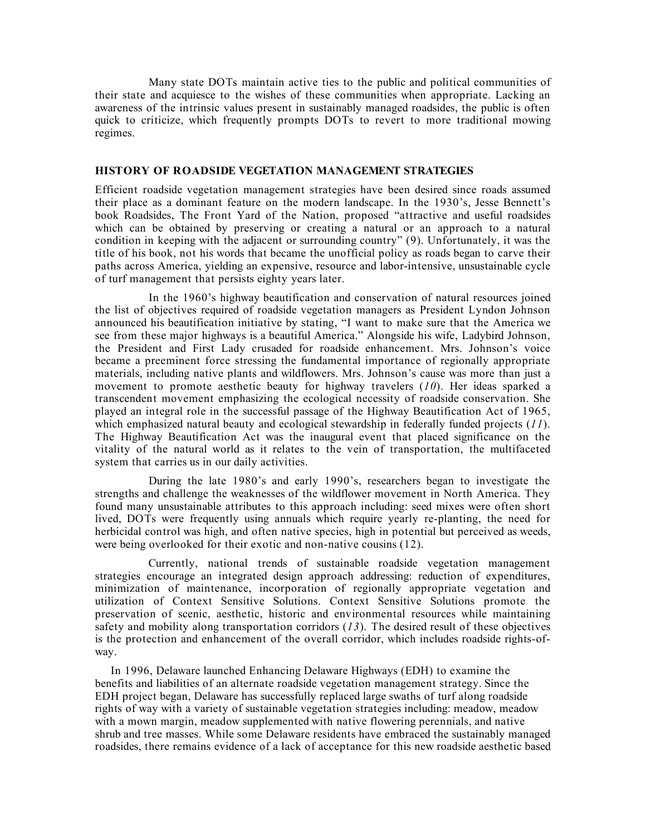Many state DOTs maintain active ties to the public and political communities of their state and acquiesce to the wishes of these communities when appropriate. Lacking an awareness of the intrinsic values present in sustainably managed roadsides, the public is often quick to criticize, which frequently prompts DOTs to revert to more traditional mowing regimes.

## **HISTORY OF ROADSIDE VEGETATION MANAGEMENT STRATEGIES**

Efficient roadside vegetation management strategies have been desired since roads assumed their place as a dominant feature on the modern landscape. In the 1930's, Jesse Bennett's book Roadsides, The Front Yard of the Nation, proposed "attractive and useful roadsides which can be obtained by preserving or creating a natural or an approach to a natural condition in keeping with the adjacent or surrounding country" (9). Unfortunately, it was the title of his book, not his words that became the unofficial policy as roads began to carve their paths across America, yielding an expensive, resource and labor-intensive, unsustainable cycle of turf management that persists eighty years later.

 In the 1960's highway beautification and conservation of natural resources joined the list of objectives required of roadside vegetation managers as President Lyndon Johnson announced his beautification initiative by stating, "I want to make sure that the America we see from these major highways is a beautiful America." Alongside his wife, Ladybird Johnson, the President and First Lady crusaded for roadside enhancement. Mrs. Johnson's voice became a preeminent force stressing the fundamental importance of regionally appropriate materials, including native plants and wildflowers. Mrs. Johnson's cause was more than just a movement to promote aesthetic beauty for highway travelers (*10*). Her ideas sparked a transcendent movement emphasizing the ecological necessity of roadside conservation. She played an integral role in the successful passage of the Highway Beautification Act of 1965, which emphasized natural beauty and ecological stewardship in federally funded projects (*11*). The Highway Beautification Act was the inaugural event that placed significance on the vitality of the natural world as it relates to the vein of transportation, the multifaceted system that carries us in our daily activities.

 During the late 1980's and early 1990's, researchers began to investigate the strengths and challenge the weaknesses of the wildflower movement in North America. They found many unsustainable attributes to this approach including: seed mixes were often short lived, DOTs were frequently using annuals which require yearly re-planting, the need for herbicidal control was high, and often native species, high in potential but perceived as weeds, were being overlooked for their exotic and non-native cousins (12).

 Currently, national trends of sustainable roadside vegetation management strategies encourage an integrated design approach addressing: reduction of expenditures, minimization of maintenance, incorporation of regionally appropriate vegetation and utilization of Context Sensitive Solutions. Context Sensitive Solutions promote the preservation of scenic, aesthetic, historic and environmental resources while maintaining safety and mobility along transportation corridors (*13*). The desired result of these objectives is the protection and enhancement of the overall corridor, which includes roadside rights-ofway.

 In 1996, Delaware launched Enhancing Delaware Highways (EDH) to examine the benefits and liabilities of an alternate roadside vegetation management strategy. Since the EDH project began, Delaware has successfully replaced large swaths of turf along roadside rights of way with a variety of sustainable vegetation strategies including: meadow, meadow with a mown margin, meadow supplemented with native flowering perennials, and native shrub and tree masses. While some Delaware residents have embraced the sustainably managed roadsides, there remains evidence of a lack of acceptance for this new roadside aesthetic based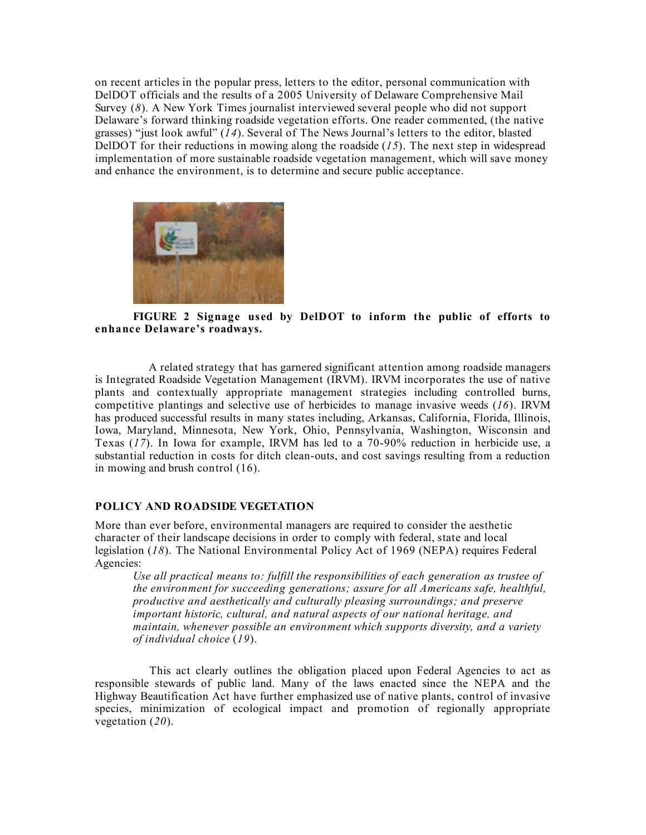on recent articles in the popular press, letters to the editor, personal communication with DelDOT officials and the results of a 2005 University of Delaware Comprehensive Mail Survey (*8*). A New York Times journalist interviewed several people who did not support Delaware's forward thinking roadside vegetation efforts. One reader commented, (the native grasses) "just look awful" (*14*). Several of The News Journal's letters to the editor, blasted DelDOT for their reductions in mowing along the roadside (*15*). The next step in widespread implementation of more sustainable roadside vegetation management, which will save money and enhance the environment, is to determine and secure public acceptance.



**FIGURE 2 Signage used by DelDOT to inform the public of efforts to enhance Delaware's roadways.**

 A related strategy that has garnered significant attention among roadside managers is Integrated Roadside Vegetation Management (IRVM). IRVM incorporates the use of native plants and contextually appropriate management strategies including controlled burns, competitive plantings and selective use of herbicides to manage invasive weeds (*16*). IRVM has produced successful results in many states including, Arkansas, California, Florida, Illinois, Iowa, Maryland, Minnesota, New York, Ohio, Pennsylvania, Washington, Wisconsin and Texas (*17*). In Iowa for example, IRVM has led to a 70-90% reduction in herbicide use, a substantial reduction in costs for ditch clean-outs, and cost savings resulting from a reduction in mowing and brush control (16).

## **POLICY AND ROADSIDE VEGETATION**

More than ever before, environmental managers are required to consider the aesthetic character of their landscape decisions in order to comply with federal, state and local legislation (*18*). The National Environmental Policy Act of 1969 (NEPA) requires Federal Agencies:

*Use all practical means to: fulfill the responsibilities of each generation as trustee of the environment for succeeding generations; assure for all Americans safe, healthful, productive and aesthetically and culturally pleasing surroundings; and preserve important historic, cultural, and natural aspects of our national heritage, and maintain, whenever possible an environment which supports diversity, and a variety of individual choice* (*19*).

 This act clearly outlines the obligation placed upon Federal Agencies to act as responsible stewards of public land. Many of the laws enacted since the NEPA and the Highway Beautification Act have further emphasized use of native plants, control of invasive species, minimization of ecological impact and promotion of regionally appropriate vegetation (*20*).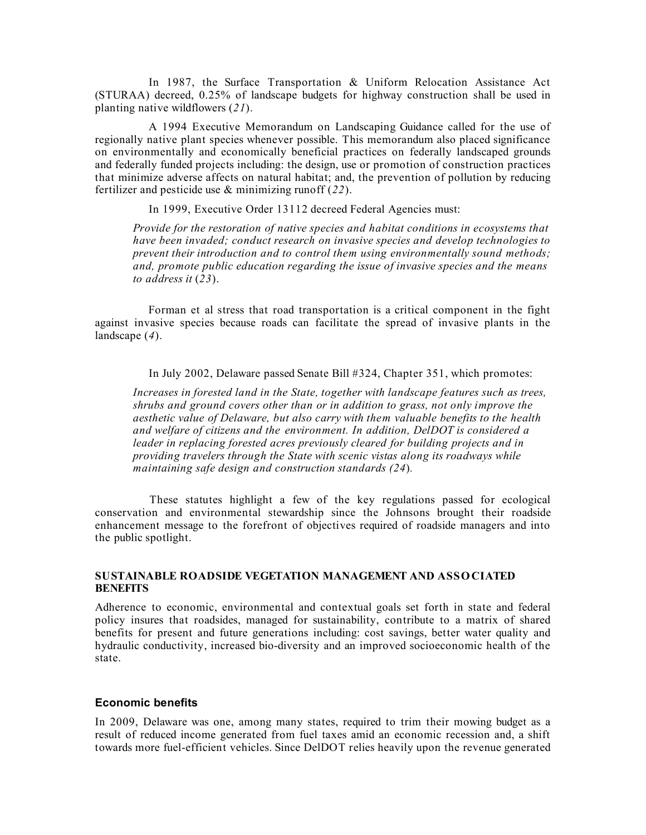In 1987, the Surface Transportation & Uniform Relocation Assistance Act (STURAA) decreed, 0.25% of landscape budgets for highway construction shall be used in planting native wildflowers (*21*).

 A 1994 Executive Memorandum on Landscaping Guidance called for the use of regionally native plant species whenever possible. This memorandum also placed significance on environmentally and economically beneficial practices on federally landscaped grounds and federally funded projects including: the design, use or promotion of construction practices that minimize adverse affects on natural habitat; and, the prevention of pollution by reducing fertilizer and pesticide use & minimizing runoff (*22*).

In 1999, Executive Order 13112 decreed Federal Agencies must:

*Provide for the restoration of native species and habitat conditions in ecosystems that have been invaded; conduct research on invasive species and develop technologies to prevent their introduction and to control them using environmentally sound methods; and, promote public education regarding the issue of invasive species and the means to address it* (*23*).

 Forman et al stress that road transportation is a critical component in the fight against invasive species because roads can facilitate the spread of invasive plants in the landscape (*4*).

In July 2002, Delaware passed Senate Bill #324, Chapter 351, which promotes:

*Increases in forested land in the State, together with landscape features such as trees, shrubs and ground covers other than or in addition to grass, not only improve the aesthetic value of Delaware, but also carry with them valuable benefits to the health and welfare of citizens and the environment. In addition, DelDOT is considered a leader in replacing forested acres previously cleared for building projects and in providing travelers through the State with scenic vistas along its roadways while maintaining safe design and construction standards (24*)*.*

 These statutes highlight a few of the key regulations passed for ecological conservation and environmental stewardship since the Johnsons brought their roadside enhancement message to the forefront of objectives required of roadside managers and into the public spotlight.

## **SUSTAINABLE ROADSIDE VEGETATION MANAGEMENT AND ASSO CIATED BENEFITS**

Adherence to economic, environmental and contextual goals set forth in state and federal policy insures that roadsides, managed for sustainability, contribute to a matrix of shared benefits for present and future generations including: cost savings, better water quality and hydraulic conductivity, increased bio-diversity and an improved socioeconomic health of the state.

## **Economic benefits**

In 2009, Delaware was one, among many states, required to trim their mowing budget as a result of reduced income generated from fuel taxes amid an economic recession and, a shift towards more fuel-efficient vehicles. Since DelDOT relies heavily upon the revenue generated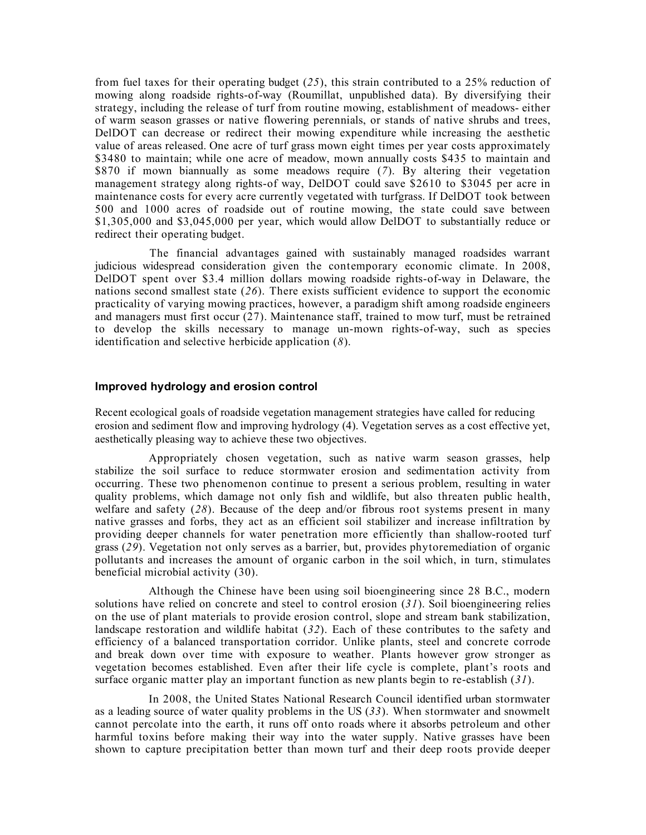from fuel taxes for their operating budget (*25*), this strain contributed to a 25% reduction of mowing along roadside rights-of-way (Roumillat, unpublished data). By diversifying their strategy, including the release of turf from routine mowing, establishment of meadows- either of warm season grasses or native flowering perennials, or stands of native shrubs and trees, DelDOT can decrease or redirect their mowing expenditure while increasing the aesthetic value of areas released. One acre of turf grass mown eight times per year costs approximately \$3480 to maintain; while one acre of meadow, mown annually costs \$435 to maintain and \$870 if mown biannually as some meadows require (*7*). By altering their vegetation management strategy along rights-of way, DelDOT could save \$2610 to \$3045 per acre in maintenance costs for every acre currently vegetated with turfgrass. If DelDOT took between 500 and 1000 acres of roadside out of routine mowing, the state could save between \$1,305,000 and \$3,045,000 per year, which would allow DelDOT to substantially reduce or redirect their operating budget.

 The financial advantages gained with sustainably managed roadsides warrant judicious widespread consideration given the contemporary economic climate. In 2008, DelDOT spent over \$3.4 million dollars mowing roadside rights-of-way in Delaware, the nations second smallest state (*26*). There exists sufficient evidence to support the economic practicality of varying mowing practices, however, a paradigm shift among roadside engineers and managers must first occur  $(27)$ . Maintenance staff, trained to mow turf, must be retrained to develop the skills necessary to manage un-mown rights-of-way, such as species identification and selective herbicide application (*8*).

#### **Improved hydrology and erosion control**

Recent ecological goals of roadside vegetation management strategies have called for reducing erosion and sediment flow and improving hydrology (4). Vegetation serves as a cost effective yet, aesthetically pleasing way to achieve these two objectives.

 Appropriately chosen vegetation, such as native warm season grasses, help stabilize the soil surface to reduce stormwater erosion and sedimentation activity from occurring. These two phenomenon continue to present a serious problem, resulting in water quality problems, which damage not only fish and wildlife, but also threaten public health, welfare and safety (*28*). Because of the deep and/or fibrous root systems present in many native grasses and forbs, they act as an efficient soil stabilizer and increase infiltration by providing deeper channels for water penetration more efficiently than shallow-rooted turf grass (*29*). Vegetation not only serves as a barrier, but, provides phytoremediation of organic pollutants and increases the amount of organic carbon in the soil which, in turn, stimulates beneficial microbial activity (30).

 Although the Chinese have been using soil bioengineering since 28 B.C., modern solutions have relied on concrete and steel to control erosion (*31*). Soil bioengineering relies on the use of plant materials to provide erosion control, slope and stream bank stabilization, landscape restoration and wildlife habitat (*32*). Each of these contributes to the safety and efficiency of a balanced transportation corridor. Unlike plants, steel and concrete corrode and break down over time with exposure to weather. Plants however grow stronger as vegetation becomes established. Even after their life cycle is complete, plant's roots and surface organic matter play an important function as new plants begin to re-establish (*31*).

 In 2008, the United States National Research Council identified urban stormwater as a leading source of water quality problems in the US (*33*). When stormwater and snowmelt cannot percolate into the earth, it runs off onto roads where it absorbs petroleum and other harmful toxins before making their way into the water supply. Native grasses have been shown to capture precipitation better than mown turf and their deep roots provide deeper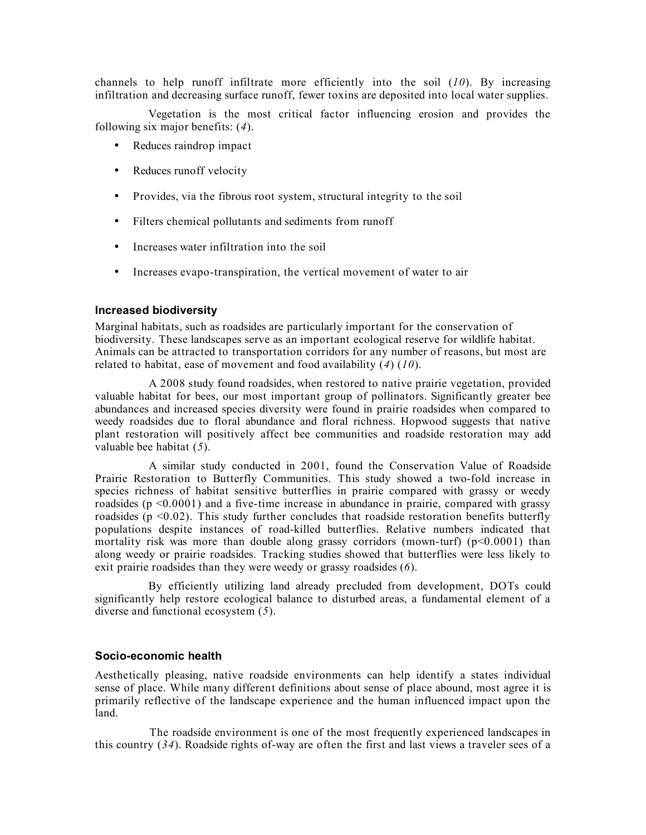channels to help runoff infiltrate more efficiently into the soil (*10*). By increasing infiltration and decreasing surface runoff, fewer toxins are deposited into local water supplies.

 Vegetation is the most critical factor influencing erosion and provides the following six major benefits: (*4*).

- Reduces raindrop impact
- Reduces runoff velocity
- Provides, via the fibrous root system, structural integrity to the soil
- Filters chemical pollutants and sediments from runoff
- Increases water infiltration into the soil
- Increases evapo-transpiration, the vertical movement of water to air

#### **Increased biodiversity**

Marginal habitats, such as roadsides are particularly important for the conservation of biodiversity. These landscapes serve as an important ecological reserve for wildlife habitat. Animals can be attracted to transportation corridors for any number of reasons, but most are related to habitat, ease of movement and food availability (*4*) (*10*).

 A 2008 study found roadsides, when restored to native prairie vegetation, provided valuable habitat for bees, our most important group of pollinators. Significantly greater bee abundances and increased species diversity were found in prairie roadsides when compared to weedy roadsides due to floral abundance and floral richness. Hopwood suggests that native plant restoration will positively affect bee communities and roadside restoration may add valuable bee habitat (*5*).

 A similar study conducted in 2001, found the Conservation Value of Roadside Prairie Restoration to Butterfly Communities. This study showed a two-fold increase in species richness of habitat sensitive butterflies in prairie compared with grassy or weedy roadsides ( $p \le 0.0001$ ) and a five-time increase in abundance in prairie, compared with grassy roadsides ( $p$  <0.02). This study further concludes that roadside restoration benefits butterfly populations despite instances of road-killed butterflies. Relative numbers indicated that mortality risk was more than double along grassy corridors (mown-turf)  $(p<0.0001)$  than along weedy or prairie roadsides. Tracking studies showed that butterflies were less likely to exit prairie roadsides than they were weedy or grassy roadsides (*6*).

 By efficiently utilizing land already precluded from development, DOTs could significantly help restore ecological balance to disturbed areas, a fundamental element of a diverse and functional ecosystem (*5*).

## **Socio-economic health**

Aesthetically pleasing, native roadside environments can help identify a states individual sense of place. While many different definitions about sense of place abound, most agree it is primarily reflective of the landscape experience and the human influenced impact upon the land.

 The roadside environment is one of the most frequently experienced landscapes in this country (*34*). Roadside rights of-way are often the first and last views a traveler sees of a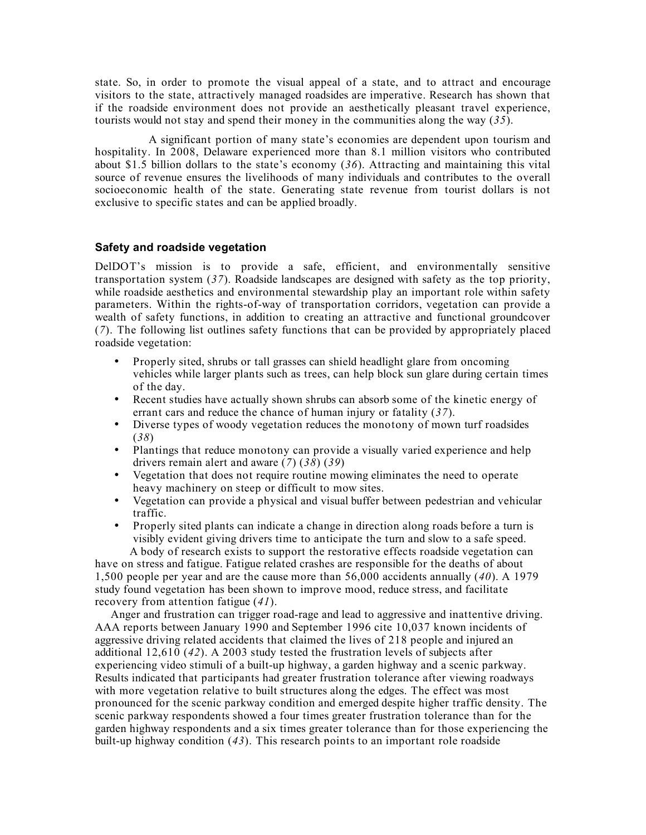state. So, in order to promote the visual appeal of a state, and to attract and encourage visitors to the state, attractively managed roadsides are imperative. Research has shown that if the roadside environment does not provide an aesthetically pleasant travel experience, tourists would not stay and spend their money in the communities along the way (*35*).

 A significant portion of many state's economies are dependent upon tourism and hospitality. In 2008, Delaware experienced more than 8.1 million visitors who contributed about \$1.5 billion dollars to the state's economy (*36*). Attracting and maintaining this vital source of revenue ensures the livelihoods of many individuals and contributes to the overall socioeconomic health of the state. Generating state revenue from tourist dollars is not exclusive to specific states and can be applied broadly.

# **Safety and roadside vegetation**

DelDOT's mission is to provide a safe, efficient, and environmentally sensitive transportation system (*37*). Roadside landscapes are designed with safety as the top priority, while roadside aesthetics and environmental stewardship play an important role within safety parameters. Within the rights-of-way of transportation corridors, vegetation can provide a wealth of safety functions, in addition to creating an attractive and functional groundcover (*7*). The following list outlines safety functions that can be provided by appropriately placed roadside vegetation:

- Properly sited, shrubs or tall grasses can shield headlight glare from oncoming vehicles while larger plants such as trees, can help block sun glare during certain times of the day.
- Recent studies have actually shown shrubs can absorb some of the kinetic energy of errant cars and reduce the chance of human injury or fatality (*37*).
- Diverse types of woody vegetation reduces the monotony of mown turf roadsides (*38*)
- Plantings that reduce monotony can provide a visually varied experience and help drivers remain alert and aware (*7*) (*38*) (*39*)
- Vegetation that does not require routine mowing eliminates the need to operate heavy machinery on steep or difficult to mow sites.
- Vegetation can provide a physical and visual buffer between pedestrian and vehicular traffic.
- Properly sited plants can indicate a change in direction along roads before a turn is visibly evident giving drivers time to anticipate the turn and slow to a safe speed.

 A body of research exists to support the restorative effects roadside vegetation can have on stress and fatigue. Fatigue related crashes are responsible for the deaths of about 1,500 people per year and are the cause more than 56,000 accidents annually (*40*). A 1979 study found vegetation has been shown to improve mood, reduce stress, and facilitate recovery from attention fatigue (*41*).

 Anger and frustration can trigger road-rage and lead to aggressive and inattentive driving. AAA reports between January 1990 and September 1996 cite 10,037 known incidents of aggressive driving related accidents that claimed the lives of 218 people and injured an additional 12,610 (*42*). A 2003 study tested the frustration levels of subjects after experiencing video stimuli of a built-up highway, a garden highway and a scenic parkway. Results indicated that participants had greater frustration tolerance after viewing roadways with more vegetation relative to built structures along the edges. The effect was most pronounced for the scenic parkway condition and emerged despite higher traffic density. The scenic parkway respondents showed a four times greater frustration tolerance than for the garden highway respondents and a six times greater tolerance than for those experiencing the built-up highway condition (*43*). This research points to an important role roadside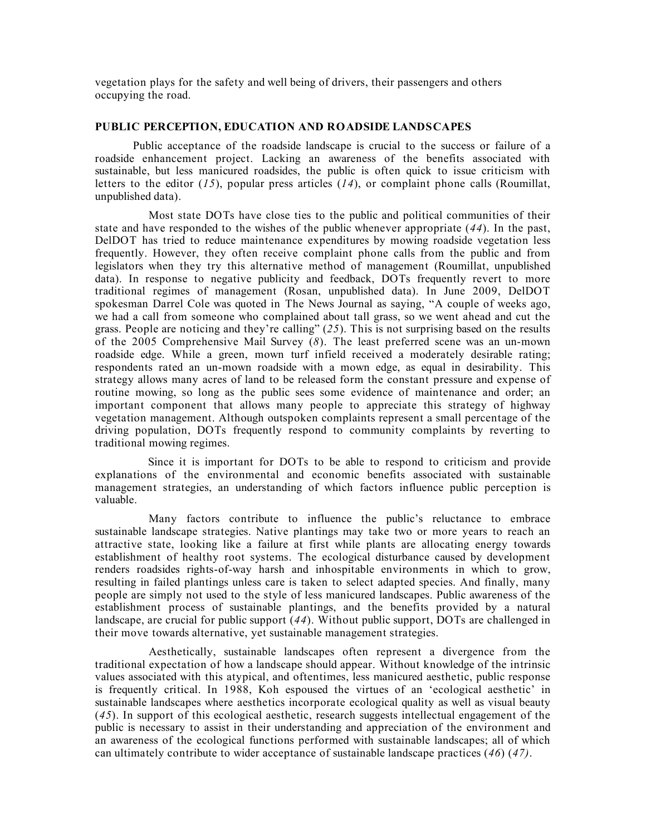vegetation plays for the safety and well being of drivers, their passengers and others occupying the road.

#### **PUBLIC PERCEPTION, EDUCATION AND ROADSIDE LANDSCAPES**

Public acceptance of the roadside landscape is crucial to the success or failure of a roadside enhancement project. Lacking an awareness of the benefits associated with sustainable, but less manicured roadsides, the public is often quick to issue criticism with letters to the editor (*15*), popular press articles (*14*), or complaint phone calls (Roumillat, unpublished data).

 Most state DOTs have close ties to the public and political communities of their state and have responded to the wishes of the public whenever appropriate (*44*). In the past, DelDOT has tried to reduce maintenance expenditures by mowing roadside vegetation less frequently. However, they often receive complaint phone calls from the public and from legislators when they try this alternative method of management (Roumillat, unpublished data). In response to negative publicity and feedback, DOTs frequently revert to more traditional regimes of management (Rosan, unpublished data). In June 2009, DelDOT spokesman Darrel Cole was quoted in The News Journal as saying, "A couple of weeks ago, we had a call from someone who complained about tall grass, so we went ahead and cut the grass. People are noticing and they're calling" (*25*). This is not surprising based on the results of the 2005 Comprehensive Mail Survey (*8*). The least preferred scene was an un-mown roadside edge. While a green, mown turf infield received a moderately desirable rating; respondents rated an un-mown roadside with a mown edge, as equal in desirability. This strategy allows many acres of land to be released form the constant pressure and expense of routine mowing, so long as the public sees some evidence of maintenance and order; an important component that allows many people to appreciate this strategy of highway vegetation management. Although outspoken complaints represent a small percentage of the driving population, DOTs frequently respond to community complaints by reverting to traditional mowing regimes.

 Since it is important for DOTs to be able to respond to criticism and provide explanations of the environmental and economic benefits associated with sustainable management strategies, an understanding of which factors influence public perception is valuable.

 Many factors contribute to influence the public's reluctance to embrace sustainable landscape strategies. Native plantings may take two or more years to reach an attractive state, looking like a failure at first while plants are allocating energy towards establishment of healthy root systems. The ecological disturbance caused by development renders roadsides rights-of-way harsh and inhospitable environments in which to grow, resulting in failed plantings unless care is taken to select adapted species. And finally, many people are simply not used to the style of less manicured landscapes. Public awareness of the establishment process of sustainable plantings, and the benefits provided by a natural landscape, are crucial for public support (*44*). Without public support, DOTs are challenged in their move towards alternative, yet sustainable management strategies.

 Aesthetically, sustainable landscapes often represent a divergence from the traditional expectation of how a landscape should appear. Without knowledge of the intrinsic values associated with this atypical, and oftentimes, less manicured aesthetic, public response is frequently critical. In 1988, Koh espoused the virtues of an 'ecological aesthetic' in sustainable landscapes where aesthetics incorporate ecological quality as well as visual beauty (*45*). In support of this ecological aesthetic, research suggests intellectual engagement of the public is necessary to assist in their understanding and appreciation of the environment and an awareness of the ecological functions performed with sustainable landscapes; all of which can ultimately contribute to wider acceptance of sustainable landscape practices (*46*) (*47)*.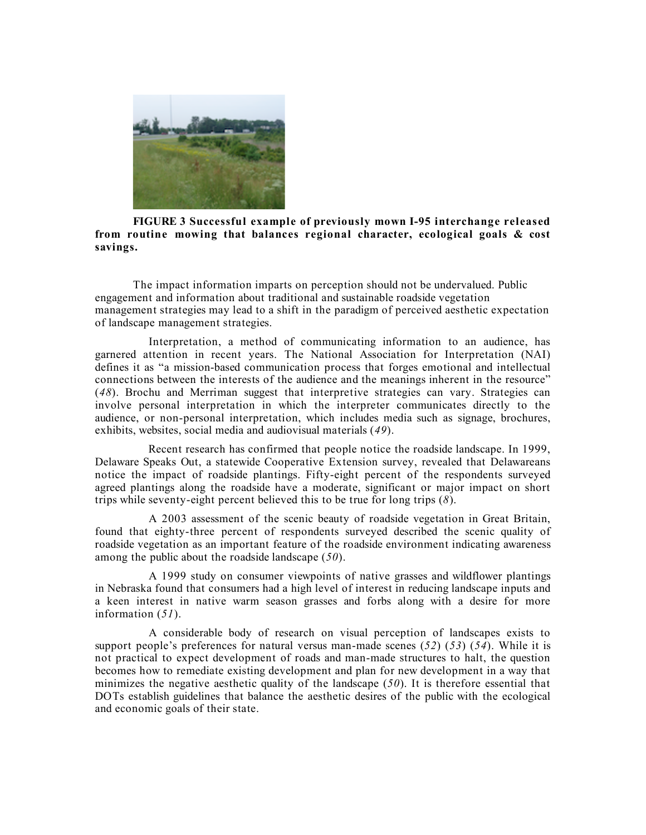

## **FIGURE 3 Successful example of previously mown I-95 interchange released from routine mowing that balances regional character, ecological goals & cost savings.**

The impact information imparts on perception should not be undervalued. Public engagement and information about traditional and sustainable roadside vegetation management strategies may lead to a shift in the paradigm of perceived aesthetic expectation of landscape management strategies.

 Interpretation, a method of communicating information to an audience, has garnered attention in recent years. The National Association for Interpretation (NAI) defines it as "a mission-based communication process that forges emotional and intellectual connections between the interests of the audience and the meanings inherent in the resource" (*48*). Brochu and Merriman suggest that interpretive strategies can vary. Strategies can involve personal interpretation in which the interpreter communicates directly to the audience, or non-personal interpretation, which includes media such as signage, brochures, exhibits, websites, social media and audiovisual materials (*49*).

 Recent research has confirmed that people notice the roadside landscape. In 1999, Delaware Speaks Out, a statewide Cooperative Extension survey, revealed that Delawareans notice the impact of roadside plantings. Fifty-eight percent of the respondents surveyed agreed plantings along the roadside have a moderate, significant or major impact on short trips while seventy-eight percent believed this to be true for long trips (*8*).

 A 2003 assessment of the scenic beauty of roadside vegetation in Great Britain, found that eighty-three percent of respondents surveyed described the scenic quality of roadside vegetation as an important feature of the roadside environment indicating awareness among the public about the roadside landscape (*50*).

 A 1999 study on consumer viewpoints of native grasses and wildflower plantings in Nebraska found that consumers had a high level of interest in reducing landscape inputs and a keen interest in native warm season grasses and forbs along with a desire for more information (*51*).

 A considerable body of research on visual perception of landscapes exists to support people's preferences for natural versus man-made scenes (*52*) (*53*) (*54*). While it is not practical to expect development of roads and man-made structures to halt, the question becomes how to remediate existing development and plan for new development in a way that minimizes the negative aesthetic quality of the landscape (*50*). It is therefore essential that DOTs establish guidelines that balance the aesthetic desires of the public with the ecological and economic goals of their state.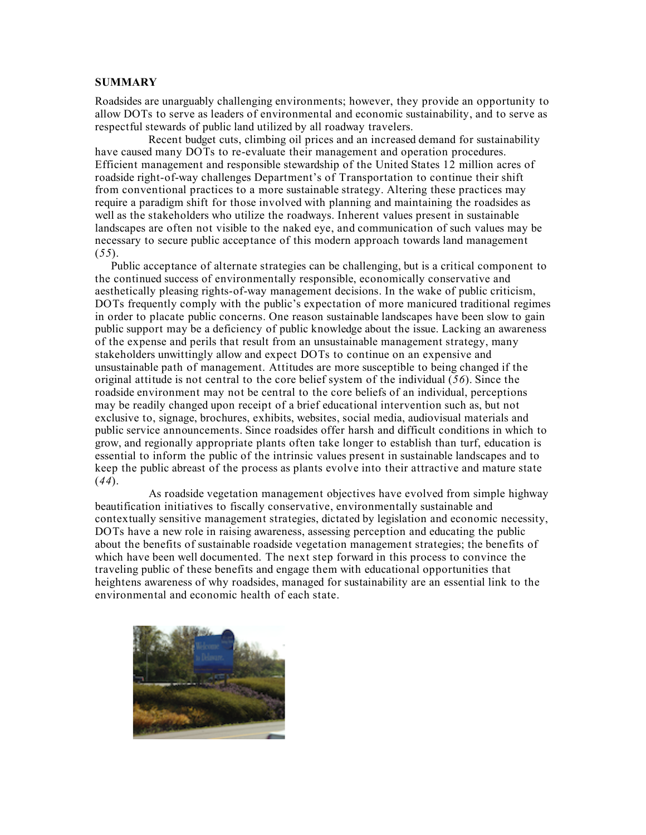## **SUMMARY**

Roadsides are unarguably challenging environments; however, they provide an opportunity to allow DOTs to serve as leaders of environmental and economic sustainability, and to serve as respectful stewards of public land utilized by all roadway travelers.

 Recent budget cuts, climbing oil prices and an increased demand for sustainability have caused many DOTs to re-evaluate their management and operation procedures. Efficient management and responsible stewardship of the United States 12 million acres of roadside right-of-way challenges Department's of Transportation to continue their shift from conventional practices to a more sustainable strategy. Altering these practices may require a paradigm shift for those involved with planning and maintaining the roadsides as well as the stakeholders who utilize the roadways. Inherent values present in sustainable landscapes are often not visible to the naked eye, and communication of such values may be necessary to secure public acceptance of this modern approach towards land management (*55*).

 Public acceptance of alternate strategies can be challenging, but is a critical component to the continued success of environmentally responsible, economically conservative and aesthetically pleasing rights-of-way management decisions. In the wake of public criticism, DOTs frequently comply with the public's expectation of more manicured traditional regimes in order to placate public concerns. One reason sustainable landscapes have been slow to gain public support may be a deficiency of public knowledge about the issue. Lacking an awareness of the expense and perils that result from an unsustainable management strategy, many stakeholders unwittingly allow and expect DOTs to continue on an expensive and unsustainable path of management. Attitudes are more susceptible to being changed if the original attitude is not central to the core belief system of the individual (*56*). Since the roadside environment may not be central to the core beliefs of an individual, perceptions may be readily changed upon receipt of a brief educational intervention such as, but not exclusive to, signage, brochures, exhibits, websites, social media, audiovisual materials and public service announcements. Since roadsides offer harsh and difficult conditions in which to grow, and regionally appropriate plants often take longer to establish than turf, education is essential to inform the public of the intrinsic values present in sustainable landscapes and to keep the public abreast of the process as plants evolve into their attractive and mature state (*44*).

 As roadside vegetation management objectives have evolved from simple highway beautification initiatives to fiscally conservative, environmentally sustainable and contextually sensitive management strategies, dictated by legislation and economic necessity, DOTs have a new role in raising awareness, assessing perception and educating the public about the benefits of sustainable roadside vegetation management strategies; the benefits of which have been well documented. The next step forward in this process to convince the traveling public of these benefits and engage them with educational opportunities that heightens awareness of why roadsides, managed for sustainability are an essential link to the environmental and economic health of each state.

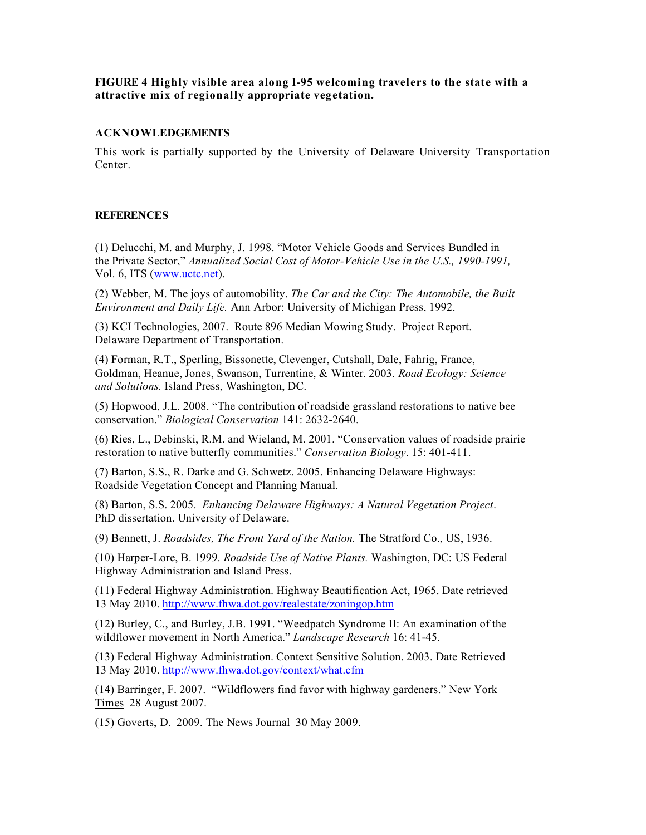## **FIGURE 4 Highly visible area along I-95 welcoming travelers to the state with a attractive mix of regionally appropriate vegetation.**

# **ACKNOWLEDGEMENTS**

This work is partially supported by the University of Delaware University Transportation Center.

# **REFERENCES**

(1) Delucchi, M. and Murphy, J. 1998. "Motor Vehicle Goods and Services Bundled in the Private Sector," *Annualized Social Cost of Motor-Vehicle Use in the U.S., 1990-1991,*  Vol. 6, ITS (www.uctc.net).

(2) Webber, M. The joys of automobility. *The Car and the City: The Automobile, the Built Environment and Daily Life.* Ann Arbor: University of Michigan Press, 1992.

(3) KCI Technologies, 2007. Route 896 Median Mowing Study. Project Report. Delaware Department of Transportation.

(4) Forman, R.T., Sperling, Bissonette, Clevenger, Cutshall, Dale, Fahrig, France, Goldman, Heanue, Jones, Swanson, Turrentine, & Winter. 2003. *Road Ecology: Science and Solutions.* Island Press, Washington, DC.

(5) Hopwood, J.L. 2008. "The contribution of roadside grassland restorations to native bee conservation." *Biological Conservation* 141: 2632-2640.

(6) Ries, L., Debinski, R.M. and Wieland, M. 2001. "Conservation values of roadside prairie restoration to native butterfly communities." *Conservation Biology*. 15: 401-411.

(7) Barton, S.S., R. Darke and G. Schwetz. 2005. Enhancing Delaware Highways: Roadside Vegetation Concept and Planning Manual.

(8) Barton, S.S. 2005. *Enhancing Delaware Highways: A Natural Vegetation Project*. PhD dissertation. University of Delaware.

(9) Bennett, J. *Roadsides, The Front Yard of the Nation.* The Stratford Co., US, 1936.

(10) Harper-Lore, B. 1999. *Roadside Use of Native Plants.* Washington, DC: US Federal Highway Administration and Island Press.

(11) Federal Highway Administration. Highway Beautification Act, 1965. Date retrieved 13 May 2010. http://www.fhwa.dot.gov/realestate/zoningop.htm

(12) Burley, C., and Burley, J.B. 1991. "Weedpatch Syndrome II: An examination of the wildflower movement in North America." *Landscape Research* 16: 41-45.

(13) Federal Highway Administration. Context Sensitive Solution. 2003. Date Retrieved 13 May 2010. http://www.fhwa.dot.gov/context/what.cfm

(14) Barringer, F. 2007. "Wildflowers find favor with highway gardeners." New York Times 28 August 2007.

(15) Goverts, D.2009. The News Journal 30 May 2009.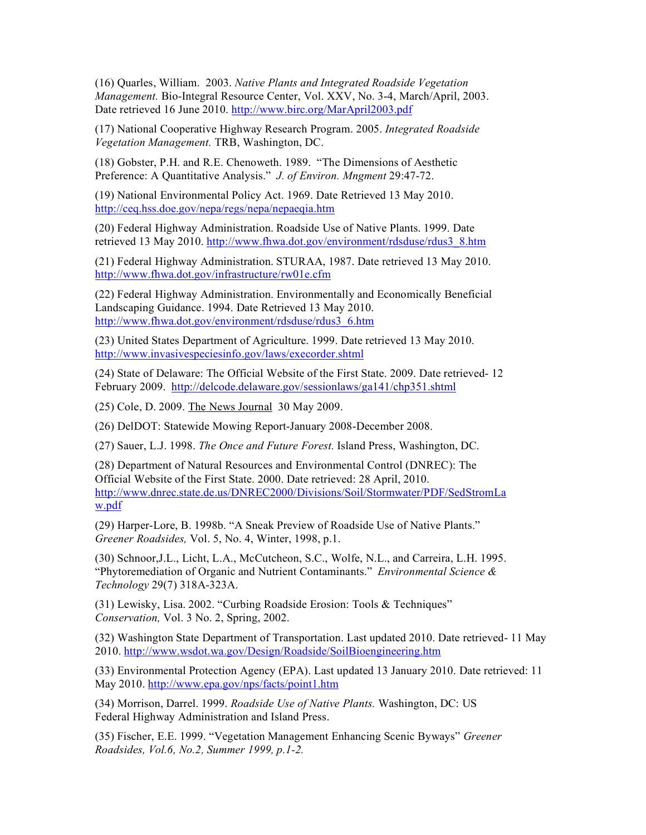(16) Quarles, William. 2003. *Native Plants and Integrated Roadside Vegetation Management.* Bio-Integral Resource Center, Vol. XXV, No. 3-4, March/April, 2003. Date retrieved 16 June 2010. http://www.birc.org/MarApril2003.pdf

(17) National Cooperative Highway Research Program. 2005. *Integrated Roadside Vegetation Management.* TRB, Washington, DC.

(18) Gobster, P.H. and R.E. Chenoweth. 1989. "The Dimensions of Aesthetic Preference: A Quantitative Analysis." *J. of Environ. Mngment* 29:47-72.

(19) National Environmental Policy Act. 1969. Date Retrieved 13 May 2010. http://ceq.hss.doe.gov/nepa/regs/nepa/nepaeqia.htm

(20) Federal Highway Administration. Roadside Use of Native Plants. 1999. Date retrieved 13 May 2010. http://www.fhwa.dot.gov/environment/rdsduse/rdus3\_8.htm

(21) Federal Highway Administration. STURAA, 1987. Date retrieved 13 May 2010. http://www.fhwa.dot.gov/infrastructure/rw01e.cfm

(22) Federal Highway Administration. Environmentally and Economically Beneficial Landscaping Guidance. 1994. Date Retrieved 13 May 2010. http://www.fhwa.dot.gov/environment/rdsduse/rdus3\_6.htm

(23) United States Department of Agriculture. 1999. Date retrieved 13 May 2010. http://www.invasivespeciesinfo.gov/laws/execorder.shtml

(24) State of Delaware: The Official Website of the First State. 2009. Date retrieved- 12 February 2009. http://delcode.delaware.gov/sessionlaws/ga141/chp351.shtml

(25) Cole, D. 2009. The News Journal 30 May 2009.

(26) DelDOT: Statewide Mowing Report-January 2008-December 2008.

(27) Sauer, L.J. 1998. *The Once and Future Forest.* Island Press, Washington, DC.

(28) Department of Natural Resources and Environmental Control (DNREC): The Official Website of the First State. 2000. Date retrieved: 28 April, 2010. http://www.dnrec.state.de.us/DNREC2000/Divisions/Soil/Stormwater/PDF/SedStromLa w.pdf

(29) Harper-Lore, B. 1998b. "A Sneak Preview of Roadside Use of Native Plants." *Greener Roadsides,* Vol. 5, No. 4, Winter, 1998, p.1.

(30) Schnoor,J.L., Licht, L.A., McCutcheon, S.C., Wolfe, N.L., and Carreira, L.H. 1995. "Phytoremediation of Organic and Nutrient Contaminants." *Environmental Science & Technology* 29(7) 318A-323A.

(31) Lewisky, Lisa. 2002. "Curbing Roadside Erosion: Tools & Techniques" *Conservation,* Vol. 3 No. 2, Spring, 2002.

(32) Washington State Department of Transportation. Last updated 2010. Date retrieved- 11 May 2010. http://www.wsdot.wa.gov/Design/Roadside/SoilBioengineering.htm

(33) Environmental Protection Agency (EPA). Last updated 13 January 2010. Date retrieved: 11 May 2010. http://www.epa.gov/nps/facts/point1.htm

(34) Morrison, Darrel. 1999. *Roadside Use of Native Plants.* Washington, DC: US Federal Highway Administration and Island Press.

(35) Fischer, E.E. 1999. "Vegetation Management Enhancing Scenic Byways" *Greener Roadsides, Vol.6, No.2, Summer 1999, p.1-2.*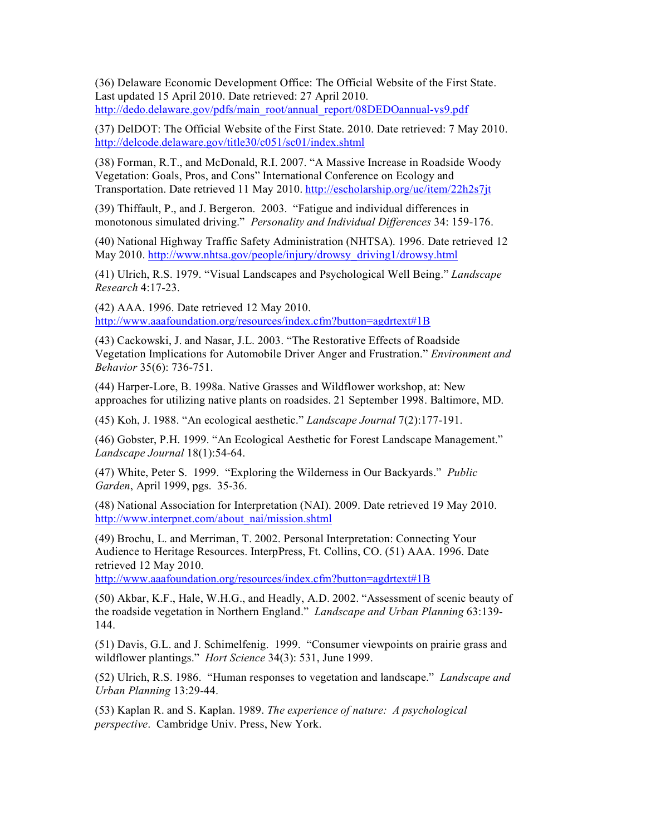(36) Delaware Economic Development Office: The Official Website of the First State. Last updated 15 April 2010. Date retrieved: 27 April 2010. http://dedo.delaware.gov/pdfs/main\_root/annual\_report/08DEDOannual-vs9.pdf

(37) DelDOT: The Official Website of the First State. 2010. Date retrieved: 7 May 2010. http://delcode.delaware.gov/title30/c051/sc01/index.shtml

(38) Forman, R.T., and McDonald, R.I. 2007. "A Massive Increase in Roadside Woody Vegetation: Goals, Pros, and Cons" International Conference on Ecology and Transportation. Date retrieved 11 May 2010. http://escholarship.org/uc/item/22h2s7jt

(39) Thiffault, P., and J. Bergeron. 2003. "Fatigue and individual differences in monotonous simulated driving." *Personality and Individual Differences* 34: 159-176.

(40) National Highway Traffic Safety Administration (NHTSA). 1996. Date retrieved 12 May 2010. http://www.nhtsa.gov/people/injury/drowsy\_driving1/drowsy.html

(41) Ulrich, R.S. 1979. "Visual Landscapes and Psychological Well Being." *Landscape Research* 4:17-23.

(42) AAA. 1996. Date retrieved 12 May 2010. http://www.aaafoundation.org/resources/index.cfm?button=agdrtext#1B

(43) Cackowski, J. and Nasar, J.L. 2003. "The Restorative Effects of Roadside Vegetation Implications for Automobile Driver Anger and Frustration." *Environment and Behavior* 35(6): 736-751.

(44) Harper-Lore, B. 1998a. Native Grasses and Wildflower workshop, at: New approaches for utilizing native plants on roadsides. 21 September 1998. Baltimore, MD.

(45) Koh, J. 1988. "An ecological aesthetic." *Landscape Journal* 7(2):177-191.

(46) Gobster, P.H. 1999. "An Ecological Aesthetic for Forest Landscape Management." *Landscape Journal* 18(1):54-64.

(47) White, Peter S. 1999. "Exploring the Wilderness in Our Backyards." *Public Garden*, April 1999, pgs. 35-36.

(48) National Association for Interpretation (NAI). 2009. Date retrieved 19 May 2010. http://www.interpnet.com/about\_nai/mission.shtml

(49) Brochu, L. and Merriman, T. 2002. Personal Interpretation: Connecting Your Audience to Heritage Resources. InterpPress, Ft. Collins, CO. (51) AAA. 1996. Date retrieved 12 May 2010.

http://www.aaafoundation.org/resources/index.cfm?button=agdrtext#1B

(50) Akbar, K.F., Hale, W.H.G., and Headly, A.D. 2002. "Assessment of scenic beauty of the roadside vegetation in Northern England." *Landscape and Urban Planning* 63:139- 144.

(51) Davis, G.L. and J. Schimelfenig. 1999. "Consumer viewpoints on prairie grass and wildflower plantings." *Hort Science* 34(3): 531, June 1999.

(52) Ulrich, R.S. 1986. "Human responses to vegetation and landscape." *Landscape and Urban Planning* 13:29-44.

(53) Kaplan R. and S. Kaplan. 1989. *The experience of nature: A psychological perspective*. Cambridge Univ. Press, New York.